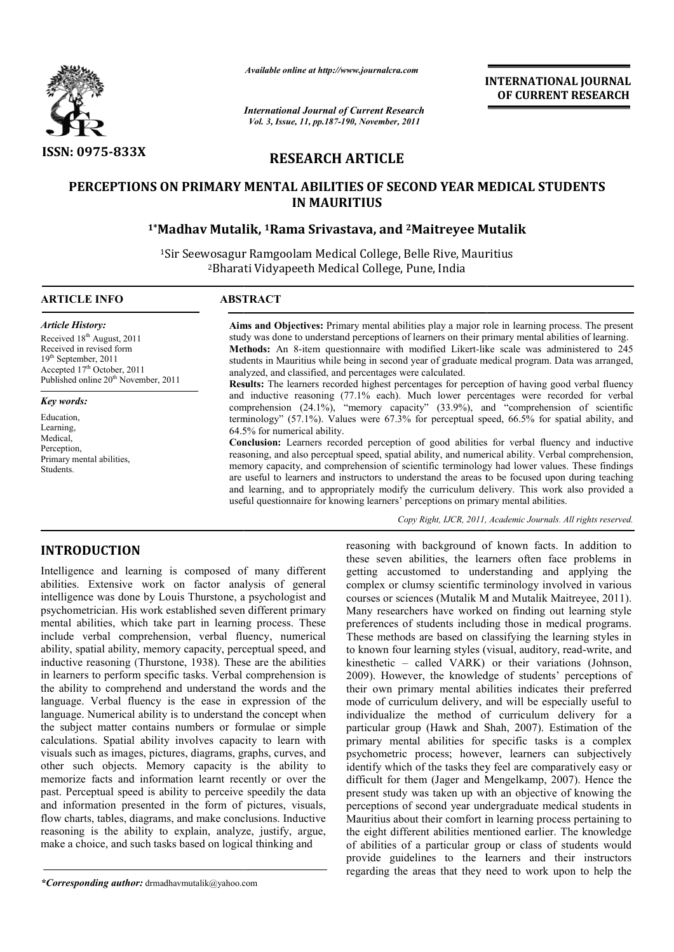

*Available online at http://www.journalcra.com*

*International Journal of Current Research Vol. 3, Issue, 11, pp.187-190, November, 2011*

**INTERNATIONAL INTERNATIONAL JOURNAL OF CURRENT RESEARCH** 

# **RESEARCH ARTICLE**

# **PERCEPTIONS ON PRIMARY MENTAL ABILITIES OF SECOND YEAR MEDICAL STUDENTS**  IS ON PRIMARY MENTAL ABILITIES OF SECOND YEAR MEDICA<br>IN MAURITIUS<br><sup>1\*</sup>Madhav Mutalik, <sup>1</sup>Rama Srivastava, and <sup>2</sup>Maitreyee Mutalik **IN MAURITIUS**

<sup>1</sup>Sir Seewosagur Ramgoolam Medical College, Belle Rive, Mauritius 2Bharati Vidyapeeth Medical College, Pune, India Bharati

#### **ARTICLE INFO ABSTRACT**

*Article History:* Received 18<sup>th</sup> August, 2011 Received in revised form 19<sup>th</sup> September, 2011 Accepted 17<sup>th</sup> October, 2011 Published online  $20<sup>th</sup>$  November, 2011

*Key words:* Education, Learning, Medical, Perception.

Students.

Aims and Objectives: Primary mental abilities play a major role in learning process. The present study was done to understand perceptions of learners on their primary mental abilities of learning. **Methods:** An 8-item questionnaire with modified Likert-like scale was administered to 245 students in Mauritius while being in second year of graduate medical program. Data was arranged, analyzed, and classified, and percentages were calculated. Methods: An 8-item questionnaire with modified Likert-like scale was administered to 245 students in Mauritius while being in second year of graduate medical program. Data was arranged, analyzed, and classified, and percen

**Results:**  The learners recorded highest percentages for perception of having good verbal fluency comprehension (24.1%), "memory capacity" (33.9%), and "comprehension of scientific terminology" (57.1%). Values were 67.3% for perceptual speed, 66.5% for spatial ability, and 64.5% for numerical ability.

**Conclusion:** Learners recorded perception of good abilities for verbal fluency and inductive reasoning, and also perceptual speed, spatial ability, and numerical ability. Verbal comprehension, memory capacity, and comprehension of scientific terminology had lower values. These findings are useful to learners and instructors to understand the areas to be focused upon during teaching and learning, and to appropriately modify the curriculum delivery. This work also provided a useful questionnaire for knowing learners' perceptions on primary mental abilities. ension (24.1%), "memory capacity" (33.9%), and "comprehension of scientific or endingly" (57.1%). Values were 67.3% for perceptual speed, 66.5% for spatial ability, and r numerical ability.<br> **ion:** Learners recorded percep

*Copy Right, IJCR, 2011, Academic Journals Copy Right, Journals. All rights reserved.*

# **INTRODUCTION**

Primary mental abilities,

Intelligence and learning is composed of many different abilities. Extensive work on factor analysis of general intelligence was done by Louis Thurstone, a psychologist and psychometrician. His work established seven different primary mental abilities, which take part in learning process. These include verbal comprehension, verbal fluency, numerical ability, spatial ability, memory capacity, perceptual speed, and inductive reasoning (Thurstone, 1938). These are the abilities in learners to perform specific tasks. Verbal comprehension is the ability to comprehend and understand the words and the language. Verbal fluency is the ease in expression of the language. Numerical ability is to understand the concept when the subject matter contains numbers or formulae or simple calculations. Spatial ability involves capacity to learn with visuals such as images, pictures, diagrams, graphs, curves, and other such objects. Memory capacity is the ability to memorize facts and information learnt recently or over the past. Perceptual speed is ability to perceive speedily the data and information presented in the form of pictures, visuals, flow charts, tables, diagrams, and make conclusions. Inductive reasoning is the ability to explain, analyze, justify, argue, make a choice, and such tasks based on logical thinking and e verbal comprehension, verbal fluency, numerical, spatial ability, memory capacity, perceptual speed, and ive reasoning (Thurstone, 1938). These are the abilities ners to perform specific tasks. Verbal comprehension is il

*\*Corresponding author:* drmadhavmutalik@yahoo.com

reasoning with background of known facts. In addition to these seven abilities, the learners often face problems in getting accustomed to understanding and applying the complex or clumsy scientific terminology involved in various courses or sciences (Mutalik M and Mutalik Maitreyee, 2011). Many researchers have worked on finding out learning style preferences of students including those in medical programs. These methods are based on classifying the learning styles in to known four learning styles (visual, auditory, read-write, and kinesthetic – called VARK) or their variations (Johnson, 2009). However, the knowledge of students' perceptions of kinesthetic – called VARK) or their variations (Johnson, 2009). However, the knowledge of students' perceptions of their own primary mental abilities indicates their preferred mode of curriculum delivery, and will be especially useful to individualize the method of curriculum delivery for a particular group (Hawk and Shah, 2007). Estimation of the primary mental abilities for specific tasks is a complex psychometric process; however, learners can subjectively identify which of the tasks they feel are comparatively easy or difficult for them (Jager and Mengelkamp, 2007). Hence the present study was taken up with an objective of knowing the perceptions of second year undergraduate medical students in Mauritius about their comfort in learning process pertaining to the eight different abilities mentioned earlier. The knowledge of abilities of a particular group or class of students would Mauritius about their comfort in learning process pertaining to the eight different abilities mentioned earlier. The knowledge of abilities of a particular group or class of students would provide guidelines to the learner regarding the areas that they need to work upon to help the of known facts. In addition to<br>arners often face problems in<br>lerstanding and applying the<br>terminology involved in various rs have worked on finding out learning style<br>students including those in medical programs.<br>are based on classifying the learning styles in mode of curriculum delivery, and will be especially useful to individualize the method of curriculum delivery for a particular group (Hawk and Shah, 2007). Estimation of the primary mental abilities for specific tasks is a INTERNATIONAL JOURNAL<br>
OF CURRENT RESEARCH<br>
OF CURRENT RESEARCH<br>
CONDUCAL STUDENTS<br>
ILEDICAL STUDENTS<br>
ILEDICAL STUDENTS<br>
ILEDICAL STUDENTS<br>
ILEDICAL STUDENTS<br>
ILEDICAL STUDENTS<br>
ILEDICAL STUDENTS<br>
ILEDICAL STUDENTS<br>
ILEDI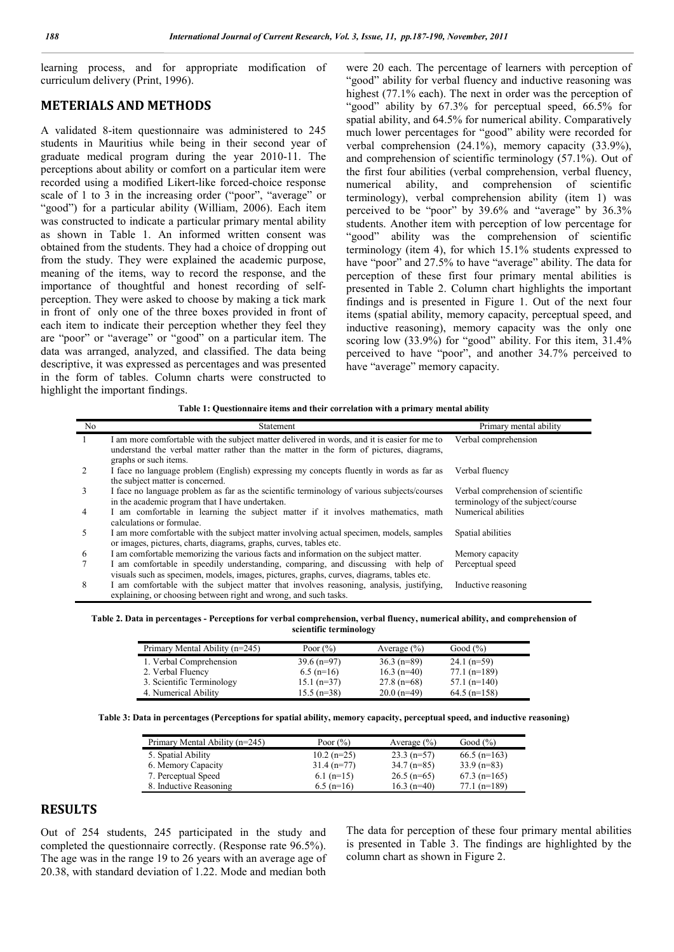learning process, and for appropriate modification of curriculum delivery (Print, 1996).

# **METERIALS AND METHODS**

A validated 8-item questionnaire was administered to 245 students in Mauritius while being in their second year of graduate medical program during the year 2010-11. The perceptions about ability or comfort on a particular item were recorded using a modified Likert-like forced-choice response scale of 1 to 3 in the increasing order ("poor", "average" or "good") for a particular ability (William, 2006). Each item was constructed to indicate a particular primary mental ability as shown in Table 1. An informed written consent was obtained from the students. They had a choice of dropping out from the study. They were explained the academic purpose, meaning of the items, way to record the response, and the importance of thoughtful and honest recording of selfperception. They were asked to choose by making a tick mark in front of only one of the three boxes provided in front of each item to indicate their perception whether they feel they are "poor" or "average" or "good" on a particular item. The data was arranged, analyzed, and classified. The data being descriptive, it was expressed as percentages and was presented in the form of tables. Column charts were constructed to highlight the important findings.

were 20 each. The percentage of learners with perception of "good" ability for verbal fluency and inductive reasoning was highest (77.1% each). The next in order was the perception of "good" ability by 67.3% for perceptual speed, 66.5% for spatial ability, and 64.5% for numerical ability. Comparatively much lower percentages for "good" ability were recorded for verbal comprehension (24.1%), memory capacity (33.9%), and comprehension of scientific terminology (57.1%). Out of the first four abilities (verbal comprehension, verbal fluency, numerical ability, and comprehension of scientific terminology), verbal comprehension ability (item 1) was perceived to be "poor" by 39.6% and "average" by 36.3% students. Another item with perception of low percentage for "good" ability was the comprehension of scientific terminology (item 4), for which 15.1% students expressed to have "poor" and 27.5% to have "average" ability. The data for perception of these first four primary mental abilities is presented in Table 2. Column chart highlights the important findings and is presented in Figure 1. Out of the next four items (spatial ability, memory capacity, perceptual speed, and inductive reasoning), memory capacity was the only one scoring low (33.9%) for "good" ability. For this item, 31.4% perceived to have "poor", and another 34.7% perceived to have "average" memory capacity.

**Table 1: Questionnaire items and their correlation with a primary mental ability**

| No             | Statement                                                                                                                                                                                                       | Primary mental ability                                                  |
|----------------|-----------------------------------------------------------------------------------------------------------------------------------------------------------------------------------------------------------------|-------------------------------------------------------------------------|
| -1             | I am more comfortable with the subject matter delivered in words, and it is easier for me to<br>understand the verbal matter rather than the matter in the form of pictures, diagrams,<br>graphs or such items. | Verbal comprehension                                                    |
| 2              | I face no language problem (English) expressing my concepts fluently in words as far as<br>the subject matter is concerned.                                                                                     | Verbal fluency                                                          |
| 3              | I face no language problem as far as the scientific terminology of various subjects/courses<br>in the academic program that I have undertaken.                                                                  | Verbal comprehension of scientific<br>terminology of the subject/course |
| $\overline{4}$ | I am comfortable in learning the subject matter if it involves mathematics, math<br>calculations or formulae.                                                                                                   | Numerical abilities                                                     |
| 5              | I am more comfortable with the subject matter involving actual specimen, models, samples<br>or images, pictures, charts, diagrams, graphs, curves, tables etc.                                                  | Spatial abilities                                                       |
| 6              | I am comfortable memorizing the various facts and information on the subject matter.                                                                                                                            | Memory capacity                                                         |
| $\tau$         | I am comfortable in speedily understanding, comparing, and discussing with help of<br>visuals such as specimen, models, images, pictures, graphs, curves, diagrams, tables etc.                                 | Perceptual speed                                                        |
| 8              | I am comfortable with the subject matter that involves reasoning, analysis, justifying,<br>explaining, or choosing between right and wrong, and such tasks.                                                     | Inductive reasoning                                                     |

**Table 2. Data in percentages - Perceptions for verbal comprehension, verbal fluency, numerical ability, and comprehension of scientific terminology**

| Primary Mental Ability (n=245) | Poor $(\%)$   | Average $(\% )$ | Good $(\% )$   |
|--------------------------------|---------------|-----------------|----------------|
| 1. Verbal Comprehension        | $39.6$ (n=97) | $36.3$ (n=89)   | $24.1$ (n=59)  |
| 2. Verbal Fluency              | $6.5$ (n=16)  | $16.3$ (n=40)   | $77.1$ (n=189) |
| 3. Scientific Terminology      | $15.1$ (n=37) | $27.8$ (n=68)   | $57.1$ (n=140) |
| 4. Numerical Ability           | $15.5$ (n=38) | $20.0(n=49)$    | $64.5$ (n=158) |

**Table 3: Data in percentages (Perceptions for spatial ability, memory capacity, perceptual speed, and inductive reasoning)**

| Primary Mental Ability (n=245) | Poor $(\% )$  | Average $(\% )$ | Good $(\% )$   |
|--------------------------------|---------------|-----------------|----------------|
| 5. Spatial Ability             | $10.2$ (n=25) | $23.3$ (n=57)   | $66.5$ (n=163) |
| 6. Memory Capacity             | $31.4(n=77)$  | $34.7 (n=85)$   | $33.9 (n=83)$  |
| 7. Perceptual Speed            | $6.1$ (n=15)  | $26.5$ (n=65)   | $67.3$ (n=165) |
| 8. Inductive Reasoning         | $6.5$ (n=16)  | $16.3$ (n=40)   | $77.1$ (n=189) |

# **RESULTS**

Out of 254 students, 245 participated in the study and completed the questionnaire correctly. (Response rate 96.5%). The age was in the range 19 to 26 years with an average age of 20.38, with standard deviation of 1.22. Mode and median both

The data for perception of these four primary mental abilities is presented in Table 3. The findings are highlighted by the column chart as shown in Figure 2.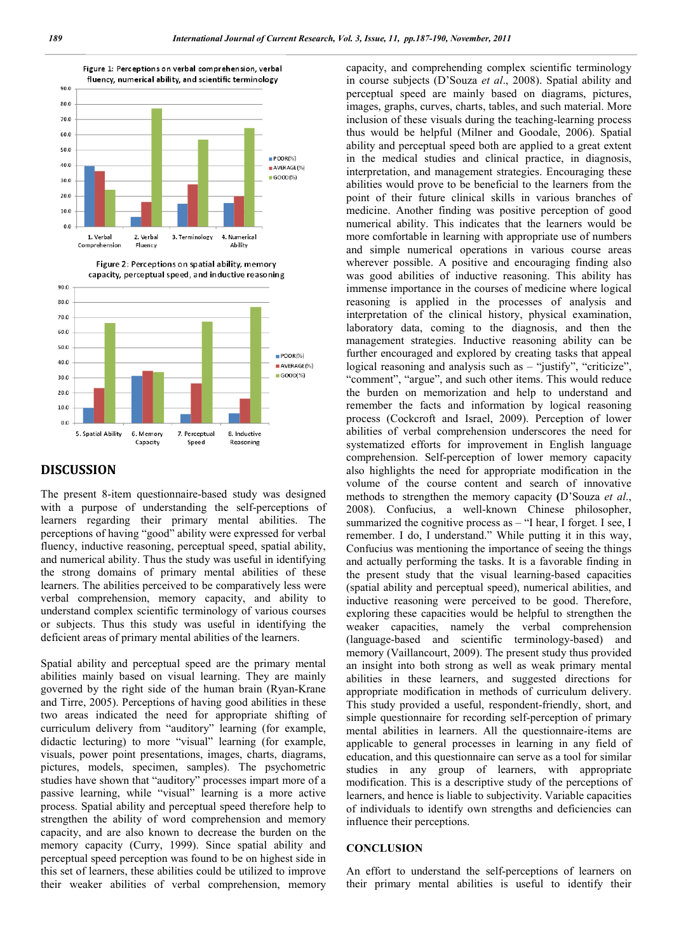



#### **DISCUSSION**

The present 8-item questionnaire-based study was designed with a purpose of understanding the self-perceptions of learners regarding their primary mental abilities. The perceptions of having "good" ability were expressed for verbal fluency, inductive reasoning, perceptual speed, spatial ability, and numerical ability. Thus the study was useful in identifying the strong domains of primary mental abilities of these learners. The abilities perceived to be comparatively less were verbal comprehension, memory capacity, and ability to understand complex scientific terminology of various courses or subjects. Thus this study was useful in identifying the deficient areas of primary mental abilities of the learners.

Spatial ability and perceptual speed are the primary mental abilities mainly based on visual learning. They are mainly governed by the right side of the human brain (Ryan-Krane and Tirre, 2005). Perceptions of having good abilities in these two areas indicated the need for appropriate shifting of curriculum delivery from "auditory" learning (for example, didactic lecturing) to more "visual" learning (for example, visuals, power point presentations, images, charts, diagrams, pictures, models, specimen, samples). The psychometric studies have shown that "auditory" processes impart more of a passive learning, while "visual" learning is a more active process. Spatial ability and perceptual speed therefore help to strengthen the ability of word comprehension and memory capacity, and are also known to decrease the burden on the memory capacity (Curry, 1999). Since spatial ability and perceptual speed perception was found to be on highest side in this set of learners, these abilities could be utilized to improve their weaker abilities of verbal comprehension, memory

capacity, and comprehending complex scientific terminology in course subjects (D'Souza *et al*., 2008). Spatial ability and perceptual speed are mainly based on diagrams, pictures, images, graphs, curves, charts, tables, and such material. More inclusion of these visuals during the teaching-learning process thus would be helpful (Milner and Goodale, 2006). Spatial ability and perceptual speed both are applied to a great extent in the medical studies and clinical practice, in diagnosis, interpretation, and management strategies. Encouraging these abilities would prove to be beneficial to the learners from the point of their future clinical skills in various branches of medicine. Another finding was positive perception of good numerical ability. This indicates that the learners would be more comfortable in learning with appropriate use of numbers and simple numerical operations in various course areas wherever possible. A positive and encouraging finding also was good abilities of inductive reasoning. This ability has immense importance in the courses of medicine where logical reasoning is applied in the processes of analysis and interpretation of the clinical history, physical examination, laboratory data, coming to the diagnosis, and then the management strategies. Inductive reasoning ability can be further encouraged and explored by creating tasks that appeal logical reasoning and analysis such as – "justify", "criticize", "comment", "argue", and such other items. This would reduce the burden on memorization and help to understand and remember the facts and information by logical reasoning process (Cockcroft and Israel, 2009). Perception of lower abilities of verbal comprehension underscores the need for systematized efforts for improvement in English language comprehension. Self-perception of lower memory capacity also highlights the need for appropriate modification in the volume of the course content and search of innovative methods to strengthen the memory capacity **(**D'Souza *et al*., 2008). Confucius, a well-known Chinese philosopher, summarized the cognitive process as  $-$  "I hear, I forget. I see, I remember. I do, I understand." While putting it in this way, Confucius was mentioning the importance of seeing the things and actually performing the tasks. It is a favorable finding in the present study that the visual learning-based capacities (spatial ability and perceptual speed), numerical abilities, and inductive reasoning were perceived to be good. Therefore, exploring these capacities would be helpful to strengthen the weaker capacities, namely the verbal comprehension (language-based and scientific terminology-based) and memory (Vaillancourt, 2009). The present study thus provided an insight into both strong as well as weak primary mental abilities in these learners, and suggested directions for appropriate modification in methods of curriculum delivery. This study provided a useful, respondent-friendly, short, and simple questionnaire for recording self-perception of primary mental abilities in learners. All the questionnaire-items are applicable to general processes in learning in any field of education, and this questionnaire can serve as a tool for similar studies in any group of learners, with appropriate modification. This is a descriptive study of the perceptions of learners, and hence is liable to subjectivity. Variable capacities of individuals to identify own strengths and deficiencies can influence their perceptions.

### **CONCLUSION**

An effort to understand the self-perceptions of learners on their primary mental abilities is useful to identify their